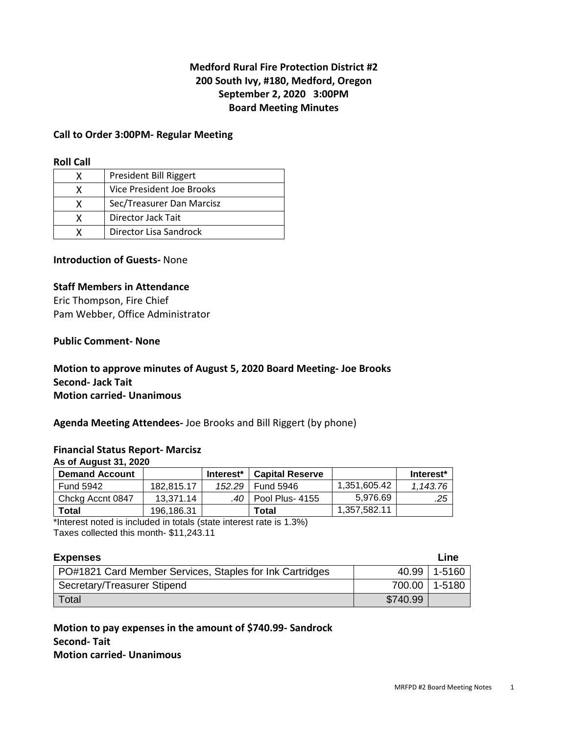## **Medford Rural Fire Protection District #2 200 South Ivy, #180, Medford, Oregon September 2, 2020 3:00PM Board Meeting Minutes**

#### **Call to Order 3:00PM- Regular Meeting**

#### **Roll Call**

|   | President Bill Riggert    |
|---|---------------------------|
|   | Vice President Joe Brooks |
|   | Sec/Treasurer Dan Marcisz |
| x | Director Jack Tait        |
|   | Director Lisa Sandrock    |

### **Introduction of Guests-** None

#### **Staff Members in Attendance**

Eric Thompson, Fire Chief Pam Webber, Office Administrator

#### **Public Comment- None**

**Motion to approve minutes of August 5, 2020 Board Meeting- Joe Brooks Second- Jack Tait Motion carried- Unanimous** 

**Agenda Meeting Attendees-** Joe Brooks and Bill Riggert (by phone)

#### **Financial Status Report- Marcisz**

**As of August 31, 2020** 

| <b>Demand Account</b> |            | Interest <sup>*</sup> | <b>Capital Reserve</b> |              | Interest* |
|-----------------------|------------|-----------------------|------------------------|--------------|-----------|
| <b>Fund 5942</b>      | 182.815.17 | 152.29                | Fund 5946              | 1.351.605.42 | 1.143.76  |
| Chckg Accnt 0847      | 13.371.14  | .40 I                 | Pool Plus- 4155        | 5.976.69     | .25       |
| Total                 | 196.186.31 |                       | Total                  | 1,357,582.11 |           |

\*Interest noted is included in totals (state interest rate is 1.3%) Taxes collected this month- \$11,243.11

| <b>Expenses</b>                                          |          | Line           |
|----------------------------------------------------------|----------|----------------|
| PO#1821 Card Member Services, Staples for Ink Cartridges |          | 40.99   1-5160 |
| Secretary/Treasurer Stipend                              | 700.00   | 1-5180         |
| Total                                                    | \$740.99 |                |

**Motion to pay expenses in the amount of \$740.99- Sandrock Second- Tait Motion carried- Unanimous**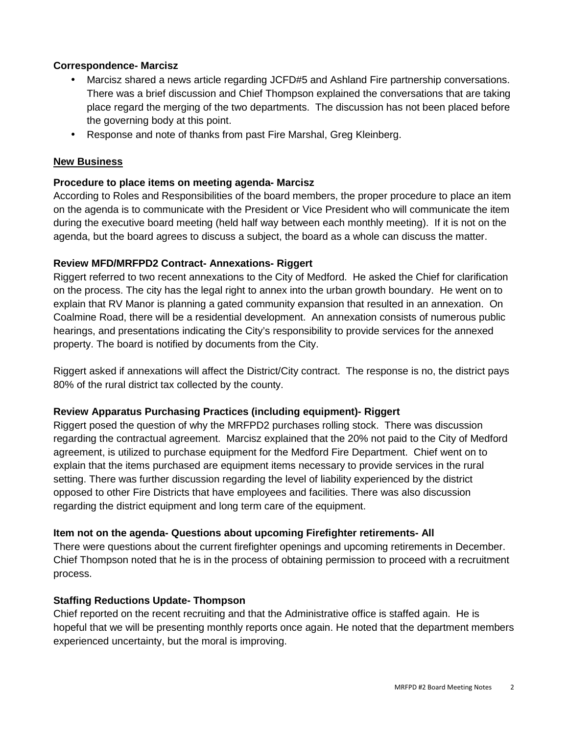### **Correspondence- Marcisz**

- Marcisz shared a news article regarding JCFD#5 and Ashland Fire partnership conversations. There was a brief discussion and Chief Thompson explained the conversations that are taking place regard the merging of the two departments. The discussion has not been placed before the governing body at this point.
- Response and note of thanks from past Fire Marshal, Greg Kleinberg.

## **New Business**

## **Procedure to place items on meeting agenda- Marcisz**

According to Roles and Responsibilities of the board members, the proper procedure to place an item on the agenda is to communicate with the President or Vice President who will communicate the item during the executive board meeting (held half way between each monthly meeting). If it is not on the agenda, but the board agrees to discuss a subject, the board as a whole can discuss the matter.

## **Review MFD/MRFPD2 Contract- Annexations- Riggert**

Riggert referred to two recent annexations to the City of Medford. He asked the Chief for clarification on the process. The city has the legal right to annex into the urban growth boundary. He went on to explain that RV Manor is planning a gated community expansion that resulted in an annexation. On Coalmine Road, there will be a residential development. An annexation consists of numerous public hearings, and presentations indicating the City's responsibility to provide services for the annexed property. The board is notified by documents from the City.

Riggert asked if annexations will affect the District/City contract. The response is no, the district pays 80% of the rural district tax collected by the county.

### **Review Apparatus Purchasing Practices (including equipment)- Riggert**

Riggert posed the question of why the MRFPD2 purchases rolling stock. There was discussion regarding the contractual agreement. Marcisz explained that the 20% not paid to the City of Medford agreement, is utilized to purchase equipment for the Medford Fire Department. Chief went on to explain that the items purchased are equipment items necessary to provide services in the rural setting. There was further discussion regarding the level of liability experienced by the district opposed to other Fire Districts that have employees and facilities. There was also discussion regarding the district equipment and long term care of the equipment.

## **Item not on the agenda- Questions about upcoming Firefighter retirements- All**

There were questions about the current firefighter openings and upcoming retirements in December. Chief Thompson noted that he is in the process of obtaining permission to proceed with a recruitment process.

### **Staffing Reductions Update- Thompson**

Chief reported on the recent recruiting and that the Administrative office is staffed again. He is hopeful that we will be presenting monthly reports once again. He noted that the department members experienced uncertainty, but the moral is improving.